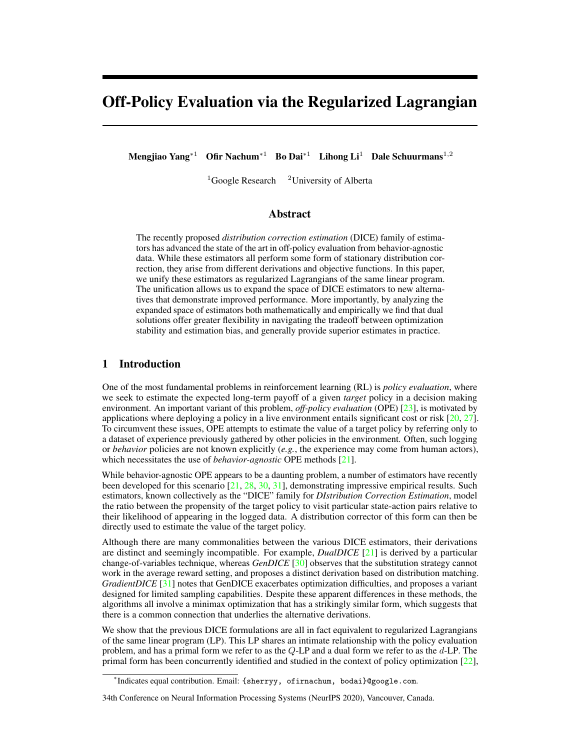# Off-Policy Evaluation via the Regularized Lagrangian

Mengjiao Yang<sup>∗1</sup> Ofir Nachum<sup>∗1</sup> Bo Dai<sup>∗1</sup> Lihong Li<sup>1</sup> Dale Schuurmans<sup>1,2</sup>

 $1$ Google Research  $2$ University of Alberta

# Abstract

The recently proposed *distribution correction estimation* (DICE) family of estimators has advanced the state of the art in off-policy evaluation from behavior-agnostic data. While these estimators all perform some form of stationary distribution correction, they arise from different derivations and objective functions. In this paper, we unify these estimators as regularized Lagrangians of the same linear program. The unification allows us to expand the space of DICE estimators to new alternatives that demonstrate improved performance. More importantly, by analyzing the expanded space of estimators both mathematically and empirically we find that dual solutions offer greater flexibility in navigating the tradeoff between optimization stability and estimation bias, and generally provide superior estimates in practice.

# 1 Introduction

One of the most fundamental problems in reinforcement learning (RL) is *policy evaluation*, where we seek to estimate the expected long-term payoff of a given *target* policy in a decision making environment. An important variant of this problem, *off-policy evaluation* (OPE) [\[23\]](#page-10-0), is motivated by applications where deploying a policy in a live environment entails significant cost or risk  $[20, 27]$  $[20, 27]$  $[20, 27]$ . To circumvent these issues, OPE attempts to estimate the value of a target policy by referring only to a dataset of experience previously gathered by other policies in the environment. Often, such logging or *behavior* policies are not known explicitly (*e.g.*, the experience may come from human actors), which necessitates the use of *behavior-agnostic* OPE methods [\[21\]](#page-10-3).

While behavior-agnostic OPE appears to be a daunting problem, a number of estimators have recently been developed for this scenario [\[21,](#page-10-3) [28,](#page-10-4) [30,](#page-10-5) [31\]](#page-10-6), demonstrating impressive empirical results. Such estimators, known collectively as the "DICE" family for *DIstribution Correction Estimation*, model the ratio between the propensity of the target policy to visit particular state-action pairs relative to their likelihood of appearing in the logged data. A distribution corrector of this form can then be directly used to estimate the value of the target policy.

Although there are many commonalities between the various DICE estimators, their derivations are distinct and seemingly incompatible. For example, *DualDICE* [\[21\]](#page-10-3) is derived by a particular change-of-variables technique, whereas *GenDICE* [\[30\]](#page-10-5) observes that the substitution strategy cannot work in the average reward setting, and proposes a distinct derivation based on distribution matching. *GradientDICE* [\[31\]](#page-10-6) notes that GenDICE exacerbates optimization difficulties, and proposes a variant designed for limited sampling capabilities. Despite these apparent differences in these methods, the algorithms all involve a minimax optimization that has a strikingly similar form, which suggests that there is a common connection that underlies the alternative derivations.

We show that the previous DICE formulations are all in fact equivalent to regularized Lagrangians of the same linear program (LP). This LP shares an intimate relationship with the policy evaluation problem, and has a primal form we refer to as the Q-LP and a dual form we refer to as the d-LP. The primal form has been concurrently identified and studied in the context of policy optimization [\[22\]](#page-10-7),

<sup>∗</sup> Indicates equal contribution. Email: {sherryy, ofirnachum, bodai}@google.com.

<sup>34</sup>th Conference on Neural Information Processing Systems (NeurIPS 2020), Vancouver, Canada.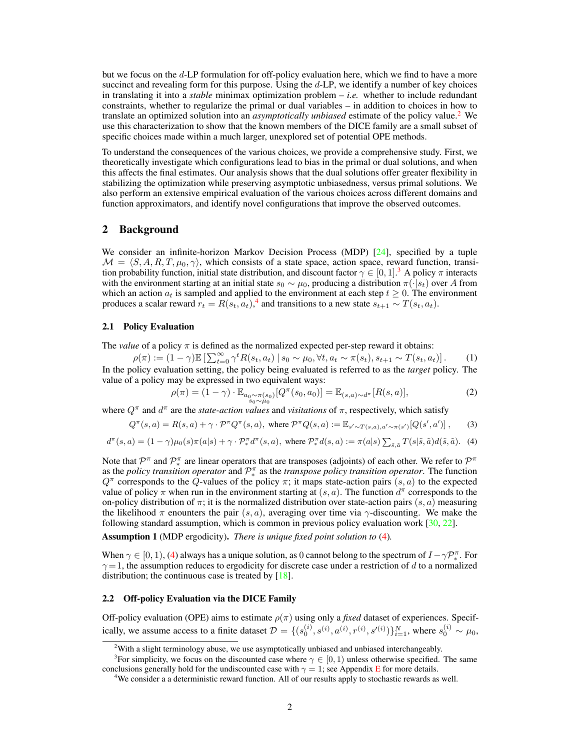but we focus on the d-LP formulation for off-policy evaluation here, which we find to have a more succinct and revealing form for this purpose. Using the  $d$ -LP, we identify a number of key choices in translating it into a *stable* minimax optimization problem – *i.e.* whether to include redundant constraints, whether to regularize the primal or dual variables – in addition to choices in how to translate an optimized solution into an *asymptotically unbiased* estimate of the policy value.[2](#page-1-0) We use this characterization to show that the known members of the DICE family are a small subset of specific choices made within a much larger, unexplored set of potential OPE methods.

To understand the consequences of the various choices, we provide a comprehensive study. First, we theoretically investigate which configurations lead to bias in the primal or dual solutions, and when this affects the final estimates. Our analysis shows that the dual solutions offer greater flexibility in stabilizing the optimization while preserving asymptotic unbiasedness, versus primal solutions. We also perform an extensive empirical evaluation of the various choices across different domains and function approximators, and identify novel configurations that improve the observed outcomes.

## 2 Background

We consider an infinite-horizon Markov Decision Process (MDP) [\[24\]](#page-10-8), specified by a tuple  $\mathcal{M} = \langle S, A, R, T, \mu_0, \gamma \rangle$ , which consists of a state space, action space, reward function, transition probability function, initial state distribution, and discount factor  $\gamma \in [0, 1]$ . A policy  $\pi$  interacts with the environment starting at an initial state  $s_0 \sim \mu_0$ , producing a distribution  $\pi(\cdot|s_t)$  over A from which an action  $a_t$  is sampled and applied to the environment at each step  $t \geq 0$ . The environment produces a scalar reward  $r_t = R(s_t, a_t)$ ,<sup>[4](#page-1-2)</sup> and transitions to a new state  $s_{t+1} \sim T(s_t, a_t)$ .

## 2.1 Policy Evaluation

The *value* of a policy  $\pi$  is defined as the normalized expected per-step reward it obtains:

 $\rho(\pi) := (1 - \gamma) \mathbb{E} \left[ \sum_{t=0}^{\infty} \gamma^t R(s_t, a_t) \, | \, s_0 \sim \mu_0, \forall t, a_t \sim \pi(s_t), s_{t+1} \sim T(s_t, a_t) \right].$  (1) In the policy evaluation setting, the policy being evaluated is referred to as the *target* policy. The value of a policy may be expressed in two equivalent ways:

<span id="page-1-6"></span><span id="page-1-4"></span>
$$
\rho(\pi) = (1 - \gamma) \cdot \mathbb{E}_{\substack{a_0 \sim \pi(s_0) \\ s_0 \sim \mu_0}}[Q^{\pi}(s_0, a_0)] = \mathbb{E}_{(s, a) \sim d^{\pi}}[R(s, a)], \tag{2}
$$

where  $Q^{\pi}$  and  $d^{\pi}$  are the *state-action values* and *visitations* of  $\pi$ , respectively, which satisfy

$$
Q^{\pi}(s, a) = R(s, a) + \gamma \cdot \mathcal{P}^{\pi} Q^{\pi}(s, a), \text{ where } \mathcal{P}^{\pi} Q(s, a) := \mathbb{E}_{s' \sim T(s, a), a' \sim \pi(s')}[Q(s', a')],\tag{3}
$$

<span id="page-1-3"></span>
$$
d^{\pi}(s, a) = (1 - \gamma)\mu_0(s)\pi(a|s) + \gamma \cdot \mathcal{P}_*^{\pi}d^{\pi}(s, a), \text{ where } \mathcal{P}_*^{\pi}d(s, a) := \pi(a|s) \sum_{\tilde{s}, \tilde{a}} T(s|\tilde{s}, \tilde{a})d(\tilde{s}, \tilde{a}). \tag{4}
$$

Note that  $\mathcal{P}^{\pi}$  and  $\mathcal{P}_{*}^{\pi}$  are linear operators that are transposes (adjoints) of each other. We refer to  $\mathcal{P}^{\pi}$ as the *policy transition operator* and  $\mathcal{P}_{*}^{\pi}$  as the *transpose policy transition operator*. The function  $Q^{\pi}$  corresponds to the  $\hat{Q}$ -values of the policy  $\pi$ ; it maps state-action pairs  $(s, a)$  to the expected value of policy  $\pi$  when run in the environment starting at  $(s, a)$ . The function  $d^{\pi}$  corresponds to the on-policy distribution of  $\pi$ ; it is the normalized distribution over state-action pairs  $(s, a)$  measuring the likelihood  $\pi$  enounters the pair  $(s, a)$ , averaging over time via  $\gamma$ -discounting. We make the following standard assumption, which is common in previous policy evaluation work [\[30,](#page-10-5) [22\]](#page-10-7).

<span id="page-1-5"></span>Assumption 1 (MDP ergodicity). *There is unique fixed point solution to* [\(4\)](#page-1-3)*.*

When  $\gamma \in [0, 1)$ , [\(4\)](#page-1-3) always has a unique solution, as 0 cannot belong to the spectrum of  $I - \gamma \mathcal{P}_{*}^{\pi}$ . For  $\gamma = 1$ , the assumption reduces to ergodicity for discrete case under a restriction of d to a normalized distribution; the continuous case is treated by  $[18]$ .

#### 2.2 Off-policy Evaluation via the DICE Family

Off-policy evaluation (OPE) aims to estimate  $\rho(\pi)$  using only a *fixed* dataset of experiences. Specifically, we assume access to a finite dataset  $\mathcal{D} = \{(s_0^{(i)}, s^{(i)}, a^{(i)}, r^{(i)}, s'^{(i)})\}_{i=1}^N$ , where  $s_0^{(i)} \sim \mu_0$ ,

<span id="page-1-1"></span><span id="page-1-0"></span> $2$ With a slight terminology abuse, we use asymptotically unbiased and unbiased interchangeably.

<sup>&</sup>lt;sup>3</sup>For simplicity, we focus on the discounted case where  $\gamma \in [0, 1)$  unless otherwise specified. The same conclusions generally hold for the undiscounted case with  $\gamma = 1$ ; see Appendix [E](#page--1-0) for more details.

<span id="page-1-2"></span><sup>4</sup>We consider a a deterministic reward function. All of our results apply to stochastic rewards as well.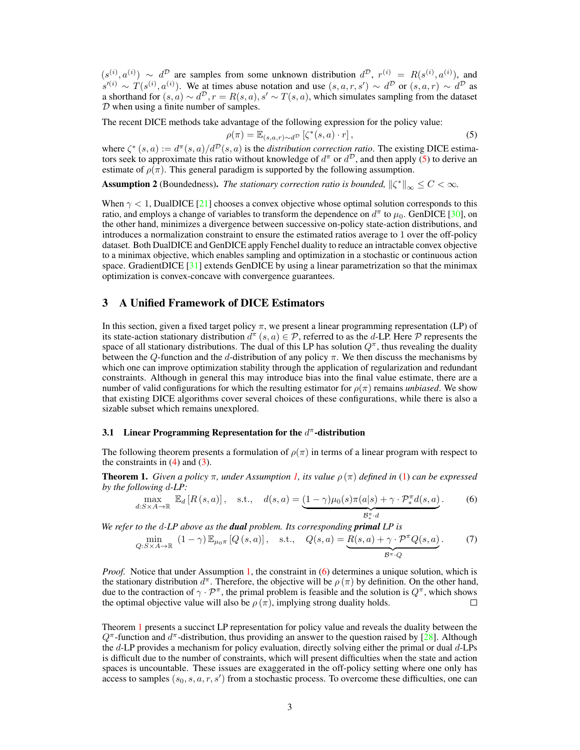$(s^{(i)}, a^{(i)}) \sim d^{\mathcal{D}}$  are samples from some unknown distribution  $d^{\mathcal{D}}$ ,  $r^{(i)} = R(s^{(i)}, a^{(i)})$ , and  $s^{(i)} \sim T(s^{(i)}, a^{(i)})$ . We at times abuse notation and use  $(s, a, r, s') \sim d^D$  or  $(s, a, r) \sim d^D$  as a shorthand for  $(s, a) \sim d^D$ ,  $r = R(s, a)$ ,  $s' \sim T(s, a)$ , which simulates sampling from the dataset D when using a finite number of samples.

The recent DICE methods take advantage of the following expression for the policy value:

<span id="page-2-0"></span>
$$
\rho(\pi) = \mathbb{E}_{(s,a,r)\sim d^{\mathcal{D}}} \left[ \zeta^*(s,a) \cdot r \right],\tag{5}
$$

where  $\zeta^*(s, a) := d^{\pi}(s, a)/d^{\mathcal{D}}(s, a)$  is the *distribution correction ratio*. The existing DICE estimators seek to approximate this ratio without knowledge of  $d^{\pi}$  or  $d^{\mathcal{D}}$ , and then apply [\(5\)](#page-2-0) to derive an estimate of  $\rho(\pi)$ . This general paradigm is supported by the following assumption.

<span id="page-2-4"></span>**Assumption 2** (Boundedness). *The stationary correction ratio is bounded*,  $\|\zeta^*\|_{\infty} \leq C < \infty$ .

When  $\gamma$  < 1, DualDICE [\[21\]](#page-10-3) chooses a convex objective whose optimal solution corresponds to this ratio, and employs a change of variables to transform the dependence on  $d^{\pi}$  to  $\mu_0$ . GenDICE [\[30\]](#page-10-5), on the other hand, minimizes a divergence between successive on-policy state-action distributions, and introduces a normalization constraint to ensure the estimated ratios average to 1 over the off-policy dataset. Both DualDICE and GenDICE apply Fenchel duality to reduce an intractable convex objective to a minimax objective, which enables sampling and optimization in a stochastic or continuous action space. GradientDICE [\[31\]](#page-10-6) extends GenDICE by using a linear parametrization so that the minimax optimization is convex-concave with convergence guarantees.

## 3 A Unified Framework of DICE Estimators

In this section, given a fixed target policy  $\pi$ , we present a linear programming representation (LP) of its state-action stationary distribution  $d^{\pi}(s, a) \in \mathcal{P}$ , referred to as the d-LP. Here  $\mathcal P$  represents the space of all stationary distributions. The dual of this LP has solution  $Q^{\pi}$ , thus revealing the duality between the Q-function and the d-distribution of any policy  $\pi$ . We then discuss the mechanisms by which one can improve optimization stability through the application of regularization and redundant constraints. Although in general this may introduce bias into the final value estimate, there are a number of valid configurations for which the resulting estimator for  $\rho(\pi)$  remains *unbiased*. We show that existing DICE algorithms cover several choices of these configurations, while there is also a sizable subset which remains unexplored.

## 3.1 Linear Programming Representation for the  $d^{\pi}$ -distribution

The following theorem presents a formulation of  $\rho(\pi)$  in terms of a linear program with respect to the constraints in  $(4)$  and  $(3)$ .

<span id="page-2-2"></span>**Theorem 1.** *Given a policy*  $\pi$ *, under Assumption [1,](#page-1-5) its value*  $\rho(\pi)$  *defined in* [\(1\)](#page-1-6) *can be expressed by the following* d*-LP:*

<span id="page-2-1"></span>
$$
\max_{d:S\times A\to\mathbb{R}}\mathbb{E}_d\left[R\left(s,a\right)\right],\quad \text{s.t.,}\quad d(s,a) = \underbrace{(1-\gamma)\mu_0(s)\pi(a|s)+\gamma\cdot\mathcal{P}_*^{\pi}d(s,a)}_{\mathcal{B}_*^{\pi}\cdot d}.\tag{6}
$$

∗ *We refer to the* d*-LP above as the dual problem. Its corresponding primal LP is*

<span id="page-2-3"></span>
$$
\min_{Q:S\times A\to\mathbb{R}}\ (1-\gamma)\,\mathbb{E}_{\mu_0\pi}\left[Q\left(s,a\right)\right],\quad \text{s.t.,}\quad Q(s,a)=\underbrace{R(s,a)+\gamma\cdot\mathcal{P}^\pi Q(s,a)}_{\mathcal{B}^\pi\cdot Q}.\tag{7}
$$

*Proof.* Notice that under Assumption [1,](#page-1-5) the constraint in [\(6\)](#page-2-1) determines a unique solution, which is the stationary distribution  $d^{\pi}$ . Therefore, the objective will be  $\rho(\pi)$  by definition. On the other hand, due to the contraction of  $\gamma \cdot \mathcal{P}^{\pi}$ , the primal problem is feasible and the solution is  $Q^{\pi}$ , which shows the optimal objective value will also be  $\rho(\pi)$ , implying strong duality holds.  $\Box$ 

Theorem [1](#page-2-2) presents a succinct LP representation for policy value and reveals the duality between the  $Q^{\pi}$ -function and  $d^{\pi}$ -distribution, thus providing an answer to the question raised by [\[28\]](#page-10-4). Although the  $d$ -LP provides a mechanism for policy evaluation, directly solving either the primal or dual  $d$ -LPs is difficult due to the number of constraints, which will present difficulties when the state and action spaces is uncountable. These issues are exaggerated in the off-policy setting where one only has access to samples  $(s_0, s, a, r, s')$  from a stochastic process. To overcome these difficulties, one can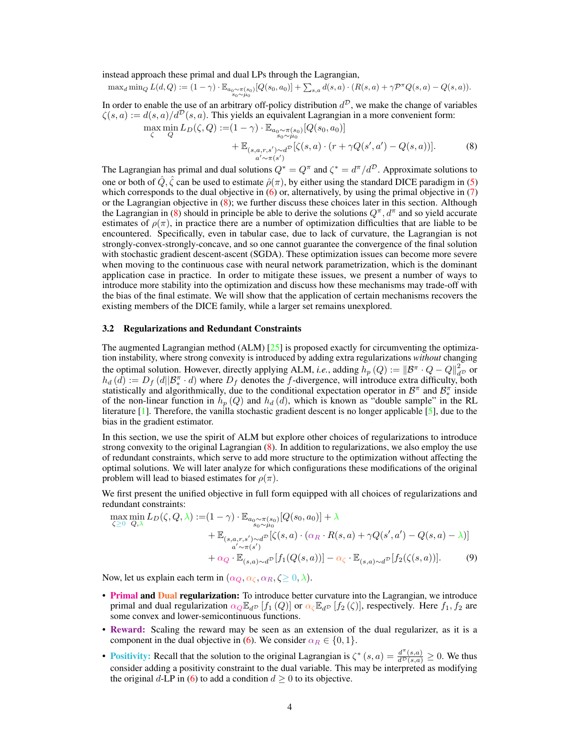instead approach these primal and dual LPs through the Lagrangian,

$$
\max_{d} \min_{Q} L(d,Q) := (1 - \gamma) \cdot \mathbb{E}_{a_{0} \sim \pi(s_{0})} [Q(s_{0}, a_{0})] + \sum_{s,a} d(s,a) \cdot (R(s,a) + \gamma \mathcal{P}^{\pi} Q(s,a) - Q(s,a)).
$$

In order to enable the use of an arbitrary off-policy distribution  $d^D$ , we make the change of variables  $\zeta(s, a) := d(s, a)/d^{\mathcal{D}}(s, a)$ . This yields an equivalent Lagrangian in a more convenient form:  $\max_{\zeta} \min_{Q} L_D(\zeta, Q) := (1 - \gamma) \cdot \mathbb{E}_{\substack{a_0 \sim \pi(s_0) \\ s_0 \sim \mu_0}}[Q(s_0, a_0)]$ 

<span id="page-3-0"></span>+ 
$$
\mathbb{E}_{\substack{(s,a,r,s') \sim d^{\mathcal{D}} \\ a'\sim \pi(s')}} [\zeta(s,a) \cdot (r + \gamma Q(s',a') - Q(s,a))].
$$
 (8)

The Lagrangian has primal and dual solutions  $Q^* = Q^{\pi}$  and  $\zeta^* = d^{\pi}/d^{\mathcal{D}}$ . Approximate solutions to one or both of  $\hat{Q}, \hat{\zeta}$  can be used to estimate  $\hat{\rho}(\pi)$ , by either using the standard DICE paradigm in [\(5\)](#page-2-0) which corresponds to the dual objective in  $(6)$  or, alternatively, by using the primal objective in  $(7)$ or the Lagrangian objective in [\(8\)](#page-3-0); we further discuss these choices later in this section. Although the Lagrangian in [\(8\)](#page-3-0) should in principle be able to derive the solutions  $Q^{\pi}$ ,  $d^{\pi}$  and so yield accurate estimates of  $\rho(\pi)$ , in practice there are a number of optimization difficulties that are liable to be encountered. Specifically, even in tabular case, due to lack of curvature, the Lagrangian is not strongly-convex-strongly-concave, and so one cannot guarantee the convergence of the final solution with stochastic gradient descent-ascent (SGDA). These optimization issues can become more severe when moving to the continuous case with neural network parametrization, which is the dominant application case in practice. In order to mitigate these issues, we present a number of ways to introduce more stability into the optimization and discuss how these mechanisms may trade-off with the bias of the final estimate. We will show that the application of certain mechanisms recovers the existing members of the DICE family, while a larger set remains unexplored.

#### <span id="page-3-2"></span>3.2 Regularizations and Redundant Constraints

The augmented Lagrangian method (ALM) [\[25\]](#page-10-10) is proposed exactly for circumventing the optimization instability, where strong convexity is introduced by adding extra regularizations *without* changing the optimal solution. However, directly applying ALM, *i.e.*, adding  $h_p(Q) := ||\mathcal{B}^{\pi} \cdot Q - Q||_{d^D}^2$  or  $h_d(d) := D_f(d||\mathcal{B}_{*}^{\pi} \cdot d)$  where  $D_f$  denotes the f-divergence, will introduce extra difficulty, both statistically and algorithmically, due to the conditional expectation operator in  $\mathcal{B}^{\pi}$  and  $\mathcal{B}_{*}^{\pi}$  inside of the non-linear function in  $h_p(Q)$  and  $h_d(d)$ , which is known as "double sample" in the RL literature [\[1\]](#page-9-0). Therefore, the vanilla stochastic gradient descent is no longer applicable [\[5\]](#page-9-1), due to the bias in the gradient estimator.

In this section, we use the spirit of ALM but explore other choices of regularizations to introduce strong convexity to the original Lagrangian [\(8\)](#page-3-0). In addition to regularizations, we also employ the use of redundant constraints, which serve to add more structure to the optimization without affecting the optimal solutions. We will later analyze for which configurations these modifications of the original problem will lead to biased estimates for  $\rho(\pi)$ .

We first present the unified objective in full form equipped with all choices of regularizations and redundant constraints:

<span id="page-3-1"></span>
$$
\max_{\zeta \geq 0} \min_{Q,\lambda} L_D(\zeta, Q, \lambda) := (1 - \gamma) \cdot \mathbb{E}_{a_0 \sim \pi(s_0)}[Q(s_0, a_0)] + \lambda \n+ \mathbb{E}_{(s, a, r, s') \sim d^D}[\zeta(s, a) \cdot (\alpha_R \cdot R(s, a) + \gamma Q(s', a') - Q(s, a) - \lambda)] \n+ \alpha' \sim \pi(s') \n+ \alpha_Q \cdot \mathbb{E}_{(s, a) \sim d^D}[f_1(Q(s, a))] - \alpha_{\zeta} \cdot \mathbb{E}_{(s, a) \sim d^D}[f_2(\zeta(s, a))].
$$
\n(9)

Now, let us explain each term in  $(\alpha_Q, \alpha_{\zeta}, \alpha_R, \zeta \geq 0, \lambda)$ .

- Primal and Dual regularization: To introduce better curvature into the Lagrangian, we introduce primal and dual regularization  $\alpha_Q \mathbb{E}_{d^D} [f_1(Q)]$  or  $\alpha_C \mathbb{E}_{d^D} [f_2(\zeta)]$ , respectively. Here  $f_1, f_2$  are some convex and lower-semicontinuous functions.
- Reward: Scaling the reward may be seen as an extension of the dual regularizer, as it is a component in the dual objective in [\(6\)](#page-2-1). We consider  $\alpha_R \in \{0, 1\}.$
- Positivity: Recall that the solution to the original Lagrangian is  $\zeta^*(s, a) = \frac{d^{\pi}(s, a)}{d^{\mathcal{D}}(s, a)} \geq 0$ . We thus consider adding a positivity constraint to the dual variable. This may be interpreted as modifying the original d-LP in [\(6\)](#page-2-1) to add a condition  $d \ge 0$  to its objective.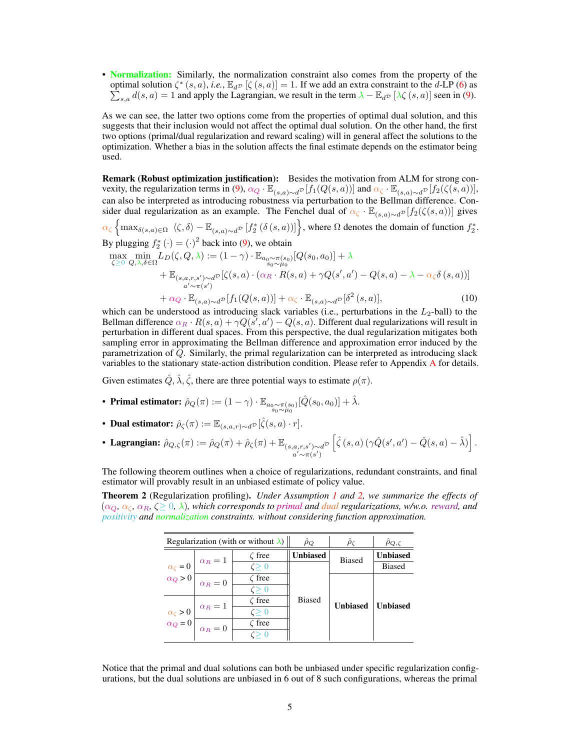• Normalization: Similarly, the normalization constraint also comes from the property of the optimal solution  $\zeta^*(s, a)$ , *i.e.*,  $\mathbb{E}_{d^D}$  [ $\zeta(s, a)$ ] = 1. If we add an extra constraint to the d-LP [\(6\)](#page-2-1) as  $\sum_{s,a} d(s,a) = 1$  and apply the Lagrangian, we result in the term  $\lambda - \mathbb{E}_{d} p \left[ \lambda \zeta(s,a) \right]$  seen in [\(9\)](#page-3-1).

As we can see, the latter two options come from the properties of optimal dual solution, and this suggests that their inclusion would not affect the optimal dual solution. On the other hand, the first two options (primal/dual regularization and reward scaling) will in general affect the solutions to the optimization. Whether a bias in the solution affects the final estimate depends on the estimator being used.

Remark (Robust optimization justification): Besides the motivation from ALM for strong con-vexity, the regularization terms in [\(9\)](#page-3-1),  $\alpha_Q \cdot \mathbb{E}_{(s,a)\sim d^{\mathcal{D}}}[f_1(Q(s,a))]$  and  $\alpha_{\zeta} \cdot \mathbb{E}_{(s,a)\sim d^{\mathcal{D}}}[f_2(\zeta(s,a))]$ , can also be interpreted as introducing robustness via perturbation to the Bellman difference. Consider dual regularization as an example. The Fenchel dual of  $\alpha_{\zeta} \cdot \mathbb{E}_{(s,a)\sim d}$  [f<sub>2</sub>( $\zeta(s,a)$ )] gives  $\alpha_{\zeta} \left\{ \max_{\delta(s,a) \in \Omega} \langle \zeta, \delta \rangle - \mathbb{E}_{(s,a) \sim d^{\mathcal{D}}} \left[ f_2^* \left( \delta(s,a) \right) \right] \right\}$ , where  $\Omega$  denotes the domain of function  $f_2^*$ . By plugging  $f_2^* (\cdot) = (\cdot)^2$  back into [\(9\)](#page-3-1), we obtain  $\max_{\zeta \geq 0} \min_{Q, \lambda, \delta \in \Omega} L_D(\zeta, Q, \lambda) := (1 - \gamma) \cdot \mathbb{E}_{a_0 \sim \pi(s_0) \atop s_0 \sim \mu_0} [Q(s_0, a_0)] + \lambda$ +  $\mathbb{E}_{(s,a,r,s') \sim d}$ <sup> $\mathcal{D}$ </sup>  $\sum_{\substack{a,r,s'\sim a^{\mathcal{D}}}}\left[\zeta(s,a)\cdot(\alpha_{R}\cdot R(s,a)+\gamma Q(s',a')-Q(s,a)-\lambda-\alpha_{\zeta}\delta\left(s,a\right))\right]$  $+\alpha_Q \cdot \mathbb{E}_{(s,a)\sim d^{\mathcal{D}}}[f_1(Q(s,a))] + \alpha_\zeta \cdot \mathbb{E}_{(s,a)\sim d^{\mathcal{D}}}[\delta^2(s,a)],$ (10)

which can be understood as introducing slack variables (i.e., perturbations in the  $L_2$ -ball) to the Bellman difference  $\alpha_R \cdot R(s,a) + \gamma Q(s',a') - Q(s,a)$ . Different dual regularizations will result in perturbation in different dual spaces. From this perspective, the dual regularization mitigates both sampling error in approximating the Bellman difference and approximation error induced by the parametrization of Q. Similarly, the primal regularization can be interpreted as introducing slack variables to the stationary state-action distribution condition. Please refer to Appendix [A](#page--1-1) for details.

Given estimates  $\hat{Q}, \hat{\lambda}, \hat{\zeta}$ , there are three potential ways to estimate  $\rho(\pi)$ .

- Primal estimator:  $\hat{\rho}_Q(\pi) := (1 \gamma) \cdot \mathbb{E}_{\substack{a_0 \sim \pi(s_0) \\ s_0 \sim \mu_0}} [\hat{Q}(s_0, a_0)] + \hat{\lambda}.$
- Dual estimator:  $\hat{\rho}_{\zeta}(\pi) := \mathbb{E}_{(s,a,r)\sim d^{\mathcal{D}}}[\hat{\zeta}(s,a)\cdot r].$
- Lagrangian:  $\hat{\rho}_{Q,\zeta}(\pi) := \hat{\rho}_Q(\pi) + \hat{\rho}_{\zeta}(\pi) + \mathbb{E}_{(s,a,r,s') \sim d} \mathbb{P}$  $a' \sim \pi(s')$  $\left[\hat{\zeta}\left(s, a\right) \left(\gamma \hat{Q}(s', a') - \hat{Q}(s, a) - \hat{\lambda}\right)\right].$

The following theorem outlines when a choice of regularizations, redundant constraints, and final estimator will provably result in an unbiased estimate of policy value.

<span id="page-4-0"></span>Theorem 2 (Regularization profiling). *Under Assumption [1](#page-1-5) and [2,](#page-2-4) we summarize the effects of*  $(\alpha_Q, \alpha_{\zeta}, \alpha_R, \zeta \geq 0, \lambda)$ , which corresponds to primal and *dual* regularizations, w/w.o. reward, and *positivity and normalization constraints. without considering function approximation.*

| Regularization (with or without $\lambda$ ) |                                                                                             |              | $\rho_O$        | $\ddot{\rho}_\mathcal{C}$ | $\hat{\rho}_{Q,\zeta}$ |
|---------------------------------------------|---------------------------------------------------------------------------------------------|--------------|-----------------|---------------------------|------------------------|
|                                             |                                                                                             | $\zeta$ free | <b>Unbiased</b> | <b>Biased</b>             | <b>Unbiased</b>        |
|                                             | $\alpha_R=1$                                                                                | $\zeta > 0$  | <b>Biased</b>   |                           | <b>Biased</b>          |
|                                             | $\alpha_{\zeta} = 0$ $\alpha_{Q} > 0$ $\alpha_{R} = 0$                                      | $\zeta$ free |                 | <b>Unbiased</b>           |                        |
|                                             |                                                                                             | $\zeta > 0$  |                 |                           |                        |
|                                             | $\alpha_R=1$<br>$\alpha_{\zeta} > 0$ $\alpha_{\zeta} = 0$ $\alpha_{R} = 0$ $\alpha_{R} = 0$ | $\zeta$ free |                 |                           | <b>Unbiased</b>        |
|                                             |                                                                                             | $\zeta > 0$  |                 |                           |                        |
|                                             |                                                                                             | $\zeta$ free |                 |                           |                        |
|                                             |                                                                                             |              |                 |                           |                        |

Notice that the primal and dual solutions can both be unbiased under specific regularization configurations, but the dual solutions are unbiased in 6 out of 8 such configurations, whereas the primal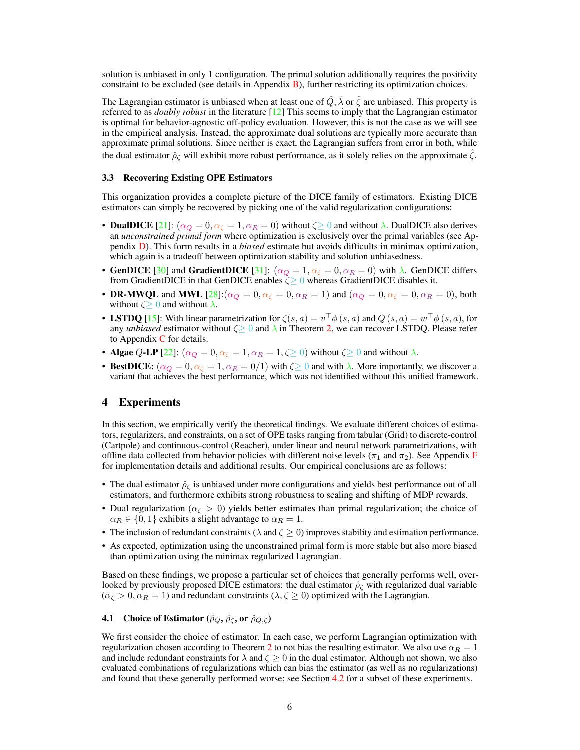solution is unbiased in only 1 configuration. The primal solution additionally requires the positivity constraint to be excluded (see details in Appendix [B\)](#page--1-2), further restricting its optimization choices.

The Lagrangian estimator is unbiased when at least one of  $Q$ ,  $\lambda$  or  $\zeta$  are unbiased. This property is referred to as *doubly robust* in the literature [\[12\]](#page-9-2) This seems to imply that the Lagrangian estimator is optimal for behavior-agnostic off-policy evaluation. However, this is not the case as we will see in the empirical analysis. Instead, the approximate dual solutions are typically more accurate than approximate primal solutions. Since neither is exact, the Lagrangian suffers from error in both, while the dual estimator  $\hat{\rho}_{\zeta}$  will exhibit more robust performance, as it solely relies on the approximate  $\zeta$ .

#### 3.3 Recovering Existing OPE Estimators

This organization provides a complete picture of the DICE family of estimators. Existing DICE estimators can simply be recovered by picking one of the valid regularization configurations:

- **DualDICE** [\[21\]](#page-10-3):  $(\alpha_Q = 0, \alpha_{\zeta} = 1, \alpha_R = 0)$  without  $\zeta \ge 0$  and without  $\lambda$ . DualDICE also derives an *unconstrained primal form* where optimization is exclusively over the primal variables (see Appendix [D\)](#page--1-3). This form results in a *biased* estimate but avoids difficults in minimax optimization, which again is a tradeoff between optimization stability and solution unbiasedness.
- GenDICE [\[30\]](#page-10-5) and GradientDICE [\[31\]](#page-10-6):  $(\alpha_Q = 1, \alpha_{\zeta} = 0, \alpha_R = 0)$  with  $\lambda$ . GenDICE differs from GradientDICE in that GenDICE enables  $\zeta \geq 0$  whereas GradientDICE disables it.
- DR-MWQL and MWL  $[28]$ : $(\alpha_Q = 0, \alpha_{\zeta} = 0, \alpha_R = 1)$  and  $(\alpha_Q = 0, \alpha_{\zeta} = 0, \alpha_R = 0)$ , both without  $\zeta \geq 0$  and without  $\lambda$ .
- LSTDQ [\[15\]](#page-10-11): With linear parametrization for  $\zeta(s, a) = v^{\top} \phi(s, a)$  and  $Q(s, a) = w^{\top} \phi(s, a)$ , for any *unbiased* estimator without  $\zeta \geq 0$  and  $\lambda$  in Theorem [2,](#page-4-0) we can recover LSTDQ. Please refer to Appendix  $C$  for details.
- Algae Q-LP [\[22\]](#page-10-7):  $(\alpha_Q = 0, \alpha_{\zeta} = 1, \alpha_R = 1, \zeta \ge 0)$  without  $\zeta \ge 0$  and without  $\lambda$ .
- BestDICE:  $(\alpha_Q = 0, \alpha_{\zeta} = 1, \alpha_R = 0/1)$  with  $\zeta \ge 0$  and with  $\lambda$ . More importantly, we discover a variant that achieves the best performance, which was not identified without this unified framework.

## 4 Experiments

In this section, we empirically verify the theoretical findings. We evaluate different choices of estimators, regularizers, and constraints, on a set of OPE tasks ranging from tabular (Grid) to discrete-control (Cartpole) and continuous-control (Reacher), under linear and neural network parametrizations, with offline data collected from behavior policies with different noise levels ( $\pi_1$  and  $\pi_2$ ). See Appendix [F](#page--1-5) for implementation details and additional results. Our empirical conclusions are as follows:

- The dual estimator  $\hat{\rho}_{\zeta}$  is unbiased under more configurations and yields best performance out of all estimators, and furthermore exhibits strong robustness to scaling and shifting of MDP rewards.
- Dual regularization ( $\alpha_{\zeta} > 0$ ) yields better estimates than primal regularization; the choice of  $\alpha_R \in \{0, 1\}$  exhibits a slight advantage to  $\alpha_R = 1$ .
- The inclusion of redundant constraints ( $\lambda$  and  $\zeta$  > 0) improves stability and estimation performance.
- As expected, optimization using the unconstrained primal form is more stable but also more biased than optimization using the minimax regularized Lagrangian.

Based on these findings, we propose a particular set of choices that generally performs well, overlooked by previously proposed DICE estimators: the dual estimator  $\hat{\rho}_{\zeta}$  with regularized dual variable  $(\alpha_{\zeta} > 0, \alpha_R = 1)$  and redundant constraints  $(\lambda, \zeta \ge 0)$  optimized with the Lagrangian.

# <span id="page-5-0"></span>**4.1** Choice of Estimator ( $\hat{\rho}_Q$ ,  $\hat{\rho}_\zeta$ , or  $\hat{\rho}_{Q,\zeta}$ )

We first consider the choice of estimator. In each case, we perform Lagrangian optimization with regularization chosen according to Theorem [2](#page-4-0) to not bias the resulting estimator. We also use  $\alpha_R = 1$ and include redundant constraints for  $\lambda$  and  $\zeta \geq 0$  in the dual estimator. Although not shown, we also evaluated combinations of regularizations which can bias the estimator (as well as no regularizations) and found that these generally performed worse; see Section [4.2](#page-7-0) for a subset of these experiments.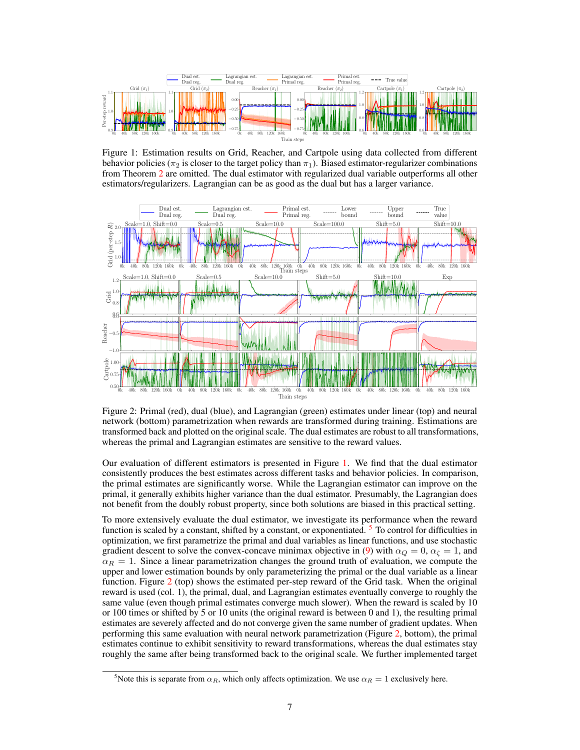<span id="page-6-0"></span>

Figure 1: Estimation results on Grid, Reacher, and Cartpole using data collected from different behavior policies ( $\pi_2$  is closer to the target policy than  $\pi_1$ ). Biased estimator-regularizer combinations from Theorem [2](#page-4-0) are omitted. The dual estimator with regularized dual variable outperforms all other estimators/regularizers. Lagrangian can be as good as the dual but has a larger variance.

<span id="page-6-2"></span>

Figure 2: Primal (red), dual (blue), and Lagrangian (green) estimates under linear (top) and neural network (bottom) parametrization when rewards are transformed during training. Estimations are transformed back and plotted on the original scale. The dual estimates are robust to all transformations, whereas the primal and Lagrangian estimates are sensitive to the reward values.

Our evaluation of different estimators is presented in Figure [1.](#page-6-0) We find that the dual estimator consistently produces the best estimates across different tasks and behavior policies. In comparison, the primal estimates are significantly worse. While the Lagrangian estimator can improve on the primal, it generally exhibits higher variance than the dual estimator. Presumably, the Lagrangian does not benefit from the doubly robust property, since both solutions are biased in this practical setting.

To more extensively evaluate the dual estimator, we investigate its performance when the reward function is scaled by a constant, shifted by a constant, or exponentiated. <sup>[5](#page-6-1)</sup> To control for difficulties in optimization, we first parametrize the primal and dual variables as linear functions, and use stochastic gradient descent to solve the convex-concave minimax objective in [\(9\)](#page-3-1) with  $\alpha_Q = 0$ ,  $\alpha_{\zeta} = 1$ , and  $\alpha_R = 1$ . Since a linear parametrization changes the ground truth of evaluation, we compute the upper and lower estimation bounds by only parameterizing the primal or the dual variable as a linear function. Figure [2](#page-6-2) (top) shows the estimated per-step reward of the Grid task. When the original reward is used (col. 1), the primal, dual, and Lagrangian estimates eventually converge to roughly the same value (even though primal estimates converge much slower). When the reward is scaled by 10 or 100 times or shifted by 5 or 10 units (the original reward is between 0 and 1), the resulting primal estimates are severely affected and do not converge given the same number of gradient updates. When performing this same evaluation with neural network parametrization (Figure [2,](#page-6-2) bottom), the primal estimates continue to exhibit sensitivity to reward transformations, whereas the dual estimates stay roughly the same after being transformed back to the original scale. We further implemented target

<span id="page-6-1"></span><sup>&</sup>lt;sup>5</sup>Note this is separate from  $\alpha_R$ , which only affects optimization. We use  $\alpha_R = 1$  exclusively here.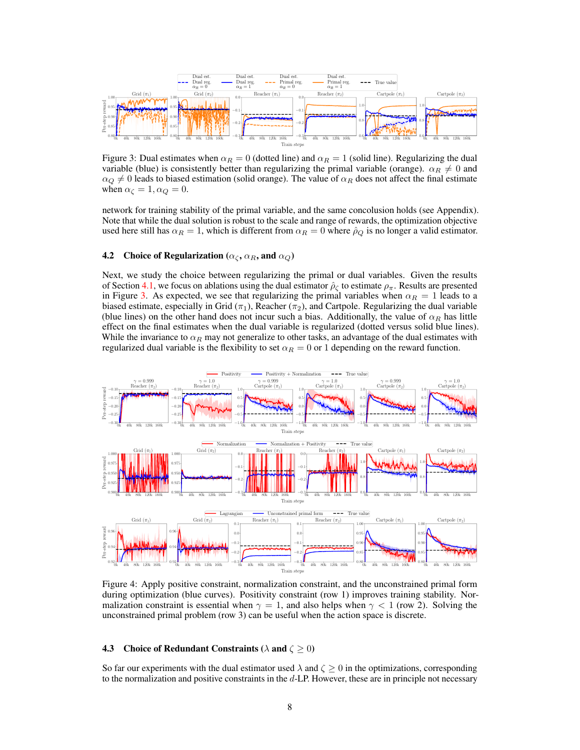<span id="page-7-1"></span>

Figure 3: Dual estimates when  $\alpha_R = 0$  (dotted line) and  $\alpha_R = 1$  (solid line). Regularizing the dual variable (blue) is consistently better than regularizing the primal variable (orange).  $\alpha_R \neq 0$  and  $\alpha_Q \neq 0$  leads to biased estimation (solid orange). The value of  $\alpha_R$  does not affect the final estimate when  $\alpha_{\zeta} = 1, \alpha_{Q} = 0$ .

network for training stability of the primal variable, and the same concolusion holds (see Appendix). Note that while the dual solution is robust to the scale and range of rewards, the optimization objective used here still has  $\alpha_R = 1$ , which is different from  $\alpha_R = 0$  where  $\hat{\rho}_Q$  is no longer a valid estimator.

### <span id="page-7-0"></span>4.2 Choice of Regularization ( $\alpha_c$ ,  $\alpha_R$ , and  $\alpha_Q$ )

Next, we study the choice between regularizing the primal or dual variables. Given the results of Section [4.1,](#page-5-0) we focus on ablations using the dual estimator  $\hat{\rho}_\zeta$  to estimate  $\rho_\pi$ . Results are presented in Figure [3.](#page-7-1) As expected, we see that regularizing the primal variables when  $\alpha_R = 1$  leads to a biased estimate, especially in Grid ( $\pi_1$ ), Reacher ( $\pi_2$ ), and Cartpole. Regularizing the dual variable (blue lines) on the other hand does not incur such a bias. Additionally, the value of  $\alpha_R$  has little effect on the final estimates when the dual variable is regularized (dotted versus solid blue lines). While the invariance to  $\alpha_R$  may not generalize to other tasks, an advantage of the dual estimates with regularized dual variable is the flexibility to set  $\alpha_R = 0$  or 1 depending on the reward function.

<span id="page-7-2"></span>

Figure 4: Apply positive constraint, normalization constraint, and the unconstrained primal form during optimization (blue curves). Positivity constraint (row 1) improves training stability. Normalization constraint is essential when  $\gamma = 1$ , and also helps when  $\gamma < 1$  (row 2). Solving the unconstrained primal problem (row 3) can be useful when the action space is discrete.

#### **4.3** Choice of Redundant Constraints ( $\lambda$  and  $\zeta \ge 0$ )

So far our experiments with the dual estimator used  $\lambda$  and  $\zeta \ge 0$  in the optimizations, corresponding to the normalization and positive constraints in the d-LP. However, these are in principle not necessary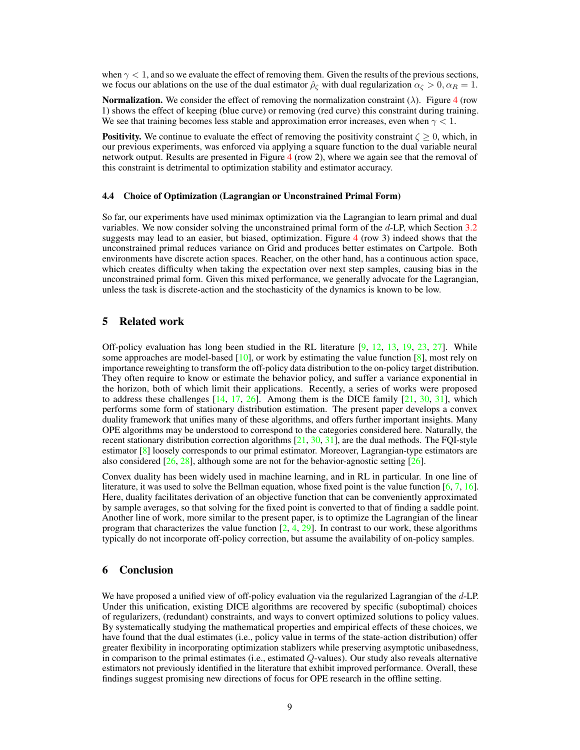when  $\gamma$  < 1, and so we evaluate the effect of removing them. Given the results of the previous sections, we focus our ablations on the use of the dual estimator  $\hat{\rho}_c$  with dual regularization  $\alpha_c > 0$ ,  $\alpha_R = 1$ .

**Normalization.** We consider the effect of removing the normalization constraint  $(\lambda)$ . Figure [4](#page-7-2) (row 1) shows the effect of keeping (blue curve) or removing (red curve) this constraint during training. We see that training becomes less stable and approximation error increases, even when  $\gamma < 1$ .

**Positivity.** We continue to evaluate the effect of removing the positivity constraint  $\zeta \geq 0$ , which, in our previous experiments, was enforced via applying a square function to the dual variable neural network output. Results are presented in Figure [4](#page-7-2) (row 2), where we again see that the removal of this constraint is detrimental to optimization stability and estimator accuracy.

## 4.4 Choice of Optimization (Lagrangian or Unconstrained Primal Form)

So far, our experiments have used minimax optimization via the Lagrangian to learn primal and dual variables. We now consider solving the unconstrained primal form of the  $d$ -LP, which Section [3.2](#page-3-2) suggests may lead to an easier, but biased, optimization. Figure [4](#page-7-2) (row 3) indeed shows that the unconstrained primal reduces variance on Grid and produces better estimates on Cartpole. Both environments have discrete action spaces. Reacher, on the other hand, has a continuous action space, which creates difficulty when taking the expectation over next step samples, causing bias in the unconstrained primal form. Given this mixed performance, we generally advocate for the Lagrangian, unless the task is discrete-action and the stochasticity of the dynamics is known to be low.

## 5 Related work

Off-policy evaluation has long been studied in the RL literature [\[9,](#page-9-3) [12,](#page-9-2) [13,](#page-9-4) [19,](#page-10-12) [23,](#page-10-0) [27\]](#page-10-2). While some approaches are model-based  $[10]$ , or work by estimating the value function  $[8]$ , most rely on importance reweighting to transform the off-policy data distribution to the on-policy target distribution. They often require to know or estimate the behavior policy, and suffer a variance exponential in the horizon, both of which limit their applications. Recently, a series of works were proposed to address these challenges  $[14, 17, 26]$  $[14, 17, 26]$  $[14, 17, 26]$  $[14, 17, 26]$  $[14, 17, 26]$ . Among them is the DICE family  $[21, 30, 31]$  $[21, 30, 31]$  $[21, 30, 31]$  $[21, 30, 31]$  $[21, 30, 31]$ , which performs some form of stationary distribution estimation. The present paper develops a convex duality framework that unifies many of these algorithms, and offers further important insights. Many OPE algorithms may be understood to correspond to the categories considered here. Naturally, the recent stationary distribution correction algorithms [\[21,](#page-10-3) [30,](#page-10-5) [31\]](#page-10-6), are the dual methods. The FQI-style estimator [\[8\]](#page-9-6) loosely corresponds to our primal estimator. Moreover, Lagrangian-type estimators are also considered  $[26, 28]$  $[26, 28]$  $[26, 28]$ , although some are not for the behavior-agnostic setting  $[26]$ .

Convex duality has been widely used in machine learning, and in RL in particular. In one line of literature, it was used to solve the Bellman equation, whose fixed point is the value function [\[6,](#page-9-8) [7,](#page-9-9) [16\]](#page-10-15). Here, duality facilitates derivation of an objective function that can be conveniently approximated by sample averages, so that solving for the fixed point is converted to that of finding a saddle point. Another line of work, more similar to the present paper, is to optimize the Lagrangian of the linear program that characterizes the value function  $[2, 4, 29]$  $[2, 4, 29]$  $[2, 4, 29]$  $[2, 4, 29]$  $[2, 4, 29]$ . In contrast to our work, these algorithms typically do not incorporate off-policy correction, but assume the availability of on-policy samples.

## 6 Conclusion

We have proposed a unified view of off-policy evaluation via the regularized Lagrangian of the d-LP. Under this unification, existing DICE algorithms are recovered by specific (suboptimal) choices of regularizers, (redundant) constraints, and ways to convert optimized solutions to policy values. By systematically studying the mathematical properties and empirical effects of these choices, we have found that the dual estimates (i.e., policy value in terms of the state-action distribution) offer greater flexibility in incorporating optimization stablizers while preserving asymptotic unibasedness, in comparison to the primal estimates (i.e., estimated Q-values). Our study also reveals alternative estimators not previously identified in the literature that exhibit improved performance. Overall, these findings suggest promising new directions of focus for OPE research in the offline setting.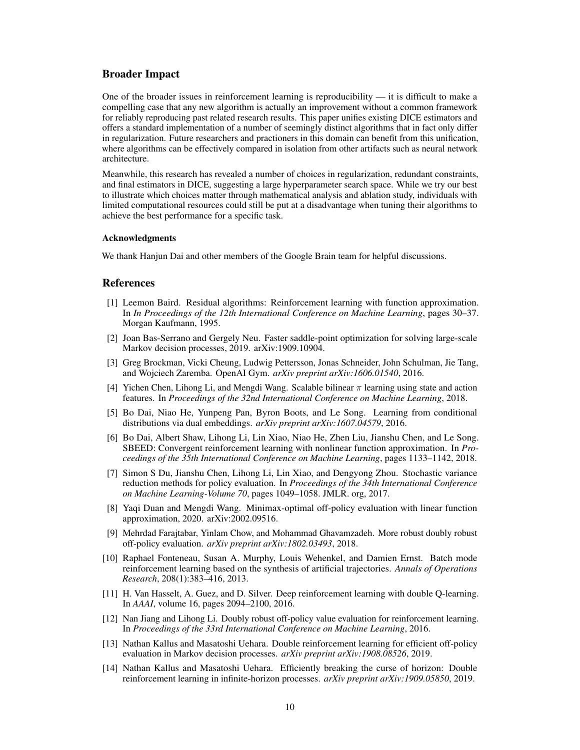## Broader Impact

One of the broader issues in reinforcement learning is reproducibility  $-$  it is difficult to make a compelling case that any new algorithm is actually an improvement without a common framework for reliably reproducing past related research results. This paper unifies existing DICE estimators and offers a standard implementation of a number of seemingly distinct algorithms that in fact only differ in regularization. Future researchers and practioners in this domain can benefit from this unification, where algorithms can be effectively compared in isolation from other artifacts such as neural network architecture.

Meanwhile, this research has revealed a number of choices in regularization, redundant constraints, and final estimators in DICE, suggesting a large hyperparameter search space. While we try our best to illustrate which choices matter through mathematical analysis and ablation study, individuals with limited computational resources could still be put at a disadvantage when tuning their algorithms to achieve the best performance for a specific task.

#### Acknowledgments

We thank Hanjun Dai and other members of the Google Brain team for helpful discussions.

## **References**

- <span id="page-9-0"></span>[1] Leemon Baird. Residual algorithms: Reinforcement learning with function approximation. In *In Proceedings of the 12th International Conference on Machine Learning*, pages 30–37. Morgan Kaufmann, 1995.
- <span id="page-9-10"></span>[2] Joan Bas-Serrano and Gergely Neu. Faster saddle-point optimization for solving large-scale Markov decision processes, 2019. arXiv:1909.10904.
- [3] Greg Brockman, Vicki Cheung, Ludwig Pettersson, Jonas Schneider, John Schulman, Jie Tang, and Wojciech Zaremba. OpenAI Gym. *arXiv preprint arXiv:1606.01540*, 2016.
- <span id="page-9-11"></span>[4] Yichen Chen, Lihong Li, and Mengdi Wang. Scalable bilinear  $\pi$  learning using state and action features. In *Proceedings of the 32nd International Conference on Machine Learning*, 2018.
- <span id="page-9-1"></span>[5] Bo Dai, Niao He, Yunpeng Pan, Byron Boots, and Le Song. Learning from conditional distributions via dual embeddings. *arXiv preprint arXiv:1607.04579*, 2016.
- <span id="page-9-8"></span>[6] Bo Dai, Albert Shaw, Lihong Li, Lin Xiao, Niao He, Zhen Liu, Jianshu Chen, and Le Song. SBEED: Convergent reinforcement learning with nonlinear function approximation. In *Proceedings of the 35th International Conference on Machine Learning*, pages 1133–1142, 2018.
- <span id="page-9-9"></span>[7] Simon S Du, Jianshu Chen, Lihong Li, Lin Xiao, and Dengyong Zhou. Stochastic variance reduction methods for policy evaluation. In *Proceedings of the 34th International Conference on Machine Learning-Volume 70*, pages 1049–1058. JMLR. org, 2017.
- <span id="page-9-6"></span>[8] Yaqi Duan and Mengdi Wang. Minimax-optimal off-policy evaluation with linear function approximation, 2020. arXiv:2002.09516.
- <span id="page-9-3"></span>[9] Mehrdad Farajtabar, Yinlam Chow, and Mohammad Ghavamzadeh. More robust doubly robust off-policy evaluation. *arXiv preprint arXiv:1802.03493*, 2018.
- <span id="page-9-5"></span>[10] Raphael Fonteneau, Susan A. Murphy, Louis Wehenkel, and Damien Ernst. Batch mode reinforcement learning based on the synthesis of artificial trajectories. *Annals of Operations Research*, 208(1):383–416, 2013.
- [11] H. Van Hasselt, A. Guez, and D. Silver. Deep reinforcement learning with double Q-learning. In *AAAI*, volume 16, pages 2094–2100, 2016.
- <span id="page-9-2"></span>[12] Nan Jiang and Lihong Li. Doubly robust off-policy value evaluation for reinforcement learning. In *Proceedings of the 33rd International Conference on Machine Learning*, 2016.
- <span id="page-9-4"></span>[13] Nathan Kallus and Masatoshi Uehara. Double reinforcement learning for efficient off-policy evaluation in Markov decision processes. *arXiv preprint arXiv:1908.08526*, 2019.
- <span id="page-9-7"></span>[14] Nathan Kallus and Masatoshi Uehara. Efficiently breaking the curse of horizon: Double reinforcement learning in infinite-horizon processes. *arXiv preprint arXiv:1909.05850*, 2019.